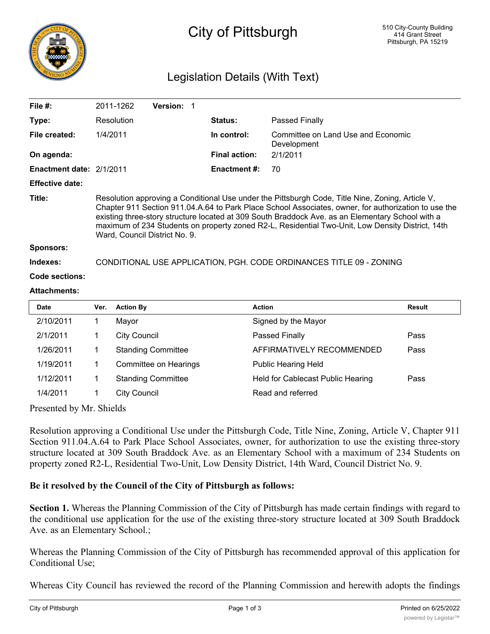

## City of Pittsburgh

## Legislation Details (With Text)

| File $#$ :               |                                                                                                                                                                                                                                                                                                                                                                                                                                                   | 2011-1262        | <b>Version: 1</b> |  |                      |                                                   |               |  |
|--------------------------|---------------------------------------------------------------------------------------------------------------------------------------------------------------------------------------------------------------------------------------------------------------------------------------------------------------------------------------------------------------------------------------------------------------------------------------------------|------------------|-------------------|--|----------------------|---------------------------------------------------|---------------|--|
| Type:                    |                                                                                                                                                                                                                                                                                                                                                                                                                                                   | Resolution       |                   |  | <b>Status:</b>       | Passed Finally                                    |               |  |
| File created:            | 1/4/2011                                                                                                                                                                                                                                                                                                                                                                                                                                          |                  |                   |  | In control:          | Committee on Land Use and Economic<br>Development |               |  |
| On agenda:               |                                                                                                                                                                                                                                                                                                                                                                                                                                                   |                  |                   |  | <b>Final action:</b> | 2/1/2011                                          |               |  |
| Enactment date: 2/1/2011 |                                                                                                                                                                                                                                                                                                                                                                                                                                                   |                  |                   |  | <b>Enactment #:</b>  | 70                                                |               |  |
| <b>Effective date:</b>   |                                                                                                                                                                                                                                                                                                                                                                                                                                                   |                  |                   |  |                      |                                                   |               |  |
| Title:                   | Resolution approving a Conditional Use under the Pittsburgh Code, Title Nine, Zoning, Article V,<br>Chapter 911 Section 911.04.A.64 to Park Place School Associates, owner, for authorization to use the<br>existing three-story structure located at 309 South Braddock Ave. as an Elementary School with a<br>maximum of 234 Students on property zoned R2-L, Residential Two-Unit, Low Density District, 14th<br>Ward, Council District No. 9. |                  |                   |  |                      |                                                   |               |  |
| <b>Sponsors:</b>         |                                                                                                                                                                                                                                                                                                                                                                                                                                                   |                  |                   |  |                      |                                                   |               |  |
| Indexes:                 | CONDITIONAL USE APPLICATION, PGH. CODE ORDINANCES TITLE 09 - ZONING                                                                                                                                                                                                                                                                                                                                                                               |                  |                   |  |                      |                                                   |               |  |
| <b>Code sections:</b>    |                                                                                                                                                                                                                                                                                                                                                                                                                                                   |                  |                   |  |                      |                                                   |               |  |
| <b>Attachments:</b>      |                                                                                                                                                                                                                                                                                                                                                                                                                                                   |                  |                   |  |                      |                                                   |               |  |
| <b>Date</b>              | Ver.                                                                                                                                                                                                                                                                                                                                                                                                                                              | <b>Action By</b> |                   |  | <b>Action</b>        |                                                   | <b>Result</b> |  |
| 2/10/2011                |                                                                                                                                                                                                                                                                                                                                                                                                                                                   | Mavor            |                   |  |                      | Signed by the Mayor                               |               |  |

| 2/10/2011 | Mayor                     | Signed by the Mayor               |      |
|-----------|---------------------------|-----------------------------------|------|
| 2/1/2011  | <b>City Council</b>       | Passed Finally                    | Pass |
| 1/26/2011 | <b>Standing Committee</b> | AFFIRMATIVELY RECOMMENDED         | Pass |
| 1/19/2011 | Committee on Hearings     | <b>Public Hearing Held</b>        |      |
| 1/12/2011 | <b>Standing Committee</b> | Held for Cablecast Public Hearing | Pass |
| 1/4/2011  | <b>City Council</b>       | Read and referred                 |      |

Presented by Mr. Shields

Resolution approving a Conditional Use under the Pittsburgh Code, Title Nine, Zoning, Article V, Chapter 911 Section 911.04.A.64 to Park Place School Associates, owner, for authorization to use the existing three-story structure located at 309 South Braddock Ave. as an Elementary School with a maximum of 234 Students on property zoned R2-L, Residential Two-Unit, Low Density District, 14th Ward, Council District No. 9.

## **Be it resolved by the Council of the City of Pittsburgh as follows:**

**Section 1.** Whereas the Planning Commission of the City of Pittsburgh has made certain findings with regard to the conditional use application for the use of the existing three-story structure located at 309 South Braddock Ave. as an Elementary School.;

Whereas the Planning Commission of the City of Pittsburgh has recommended approval of this application for Conditional Use;

Whereas City Council has reviewed the record of the Planning Commission and herewith adopts the findings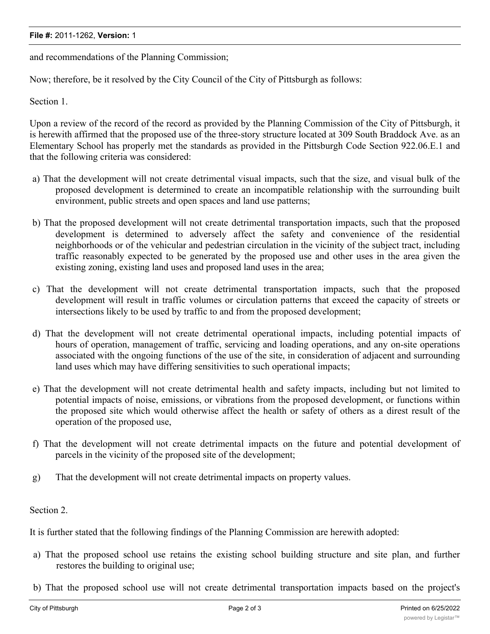## **File #:** 2011-1262, **Version:** 1

and recommendations of the Planning Commission;

Now; therefore, be it resolved by the City Council of the City of Pittsburgh as follows:

Section 1.

Upon a review of the record of the record as provided by the Planning Commission of the City of Pittsburgh, it is herewith affirmed that the proposed use of the three-story structure located at 309 South Braddock Ave. as an Elementary School has properly met the standards as provided in the Pittsburgh Code Section 922.06.E.1 and that the following criteria was considered:

- a) That the development will not create detrimental visual impacts, such that the size, and visual bulk of the proposed development is determined to create an incompatible relationship with the surrounding built environment, public streets and open spaces and land use patterns;
- b) That the proposed development will not create detrimental transportation impacts, such that the proposed development is determined to adversely affect the safety and convenience of the residential neighborhoods or of the vehicular and pedestrian circulation in the vicinity of the subject tract, including traffic reasonably expected to be generated by the proposed use and other uses in the area given the existing zoning, existing land uses and proposed land uses in the area;
- c) That the development will not create detrimental transportation impacts, such that the proposed development will result in traffic volumes or circulation patterns that exceed the capacity of streets or intersections likely to be used by traffic to and from the proposed development;
- d) That the development will not create detrimental operational impacts, including potential impacts of hours of operation, management of traffic, servicing and loading operations, and any on-site operations associated with the ongoing functions of the use of the site, in consideration of adjacent and surrounding land uses which may have differing sensitivities to such operational impacts;
- e) That the development will not create detrimental health and safety impacts, including but not limited to potential impacts of noise, emissions, or vibrations from the proposed development, or functions within the proposed site which would otherwise affect the health or safety of others as a direst result of the operation of the proposed use,
- f) That the development will not create detrimental impacts on the future and potential development of parcels in the vicinity of the proposed site of the development;
- g) That the development will not create detrimental impacts on property values.

Section 2.

It is further stated that the following findings of the Planning Commission are herewith adopted:

- a) That the proposed school use retains the existing school building structure and site plan, and further restores the building to original use;
- b) That the proposed school use will not create detrimental transportation impacts based on the project's